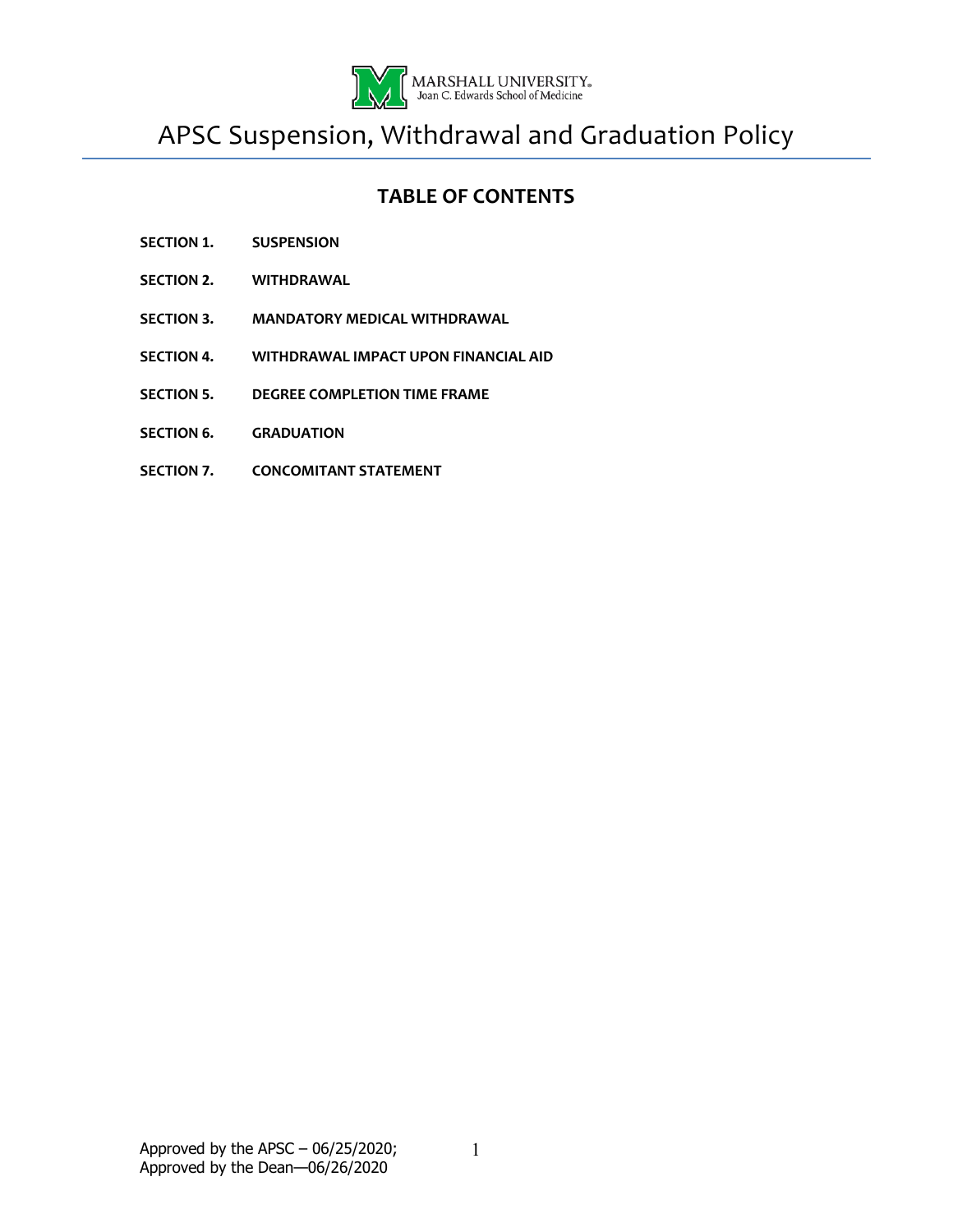

APSC Suspension, Withdrawal and Graduation Policy

# **TABLE OF CONTENTS**

- **SECTION 1. SUSPENSION**
- **SECTION 2. WITHDRAWAL**
- **SECTION 3. MANDATORY MEDICAL WITHDRAWAL**
- **SECTION 4. WITHDRAWAL IMPACT UPON FINANCIAL AID**
- **SECTION 5. DEGREE COMPLETION TIME FRAME**
- **SECTION 6. GRADUATION**
- **SECTION 7. CONCOMITANT STATEMENT**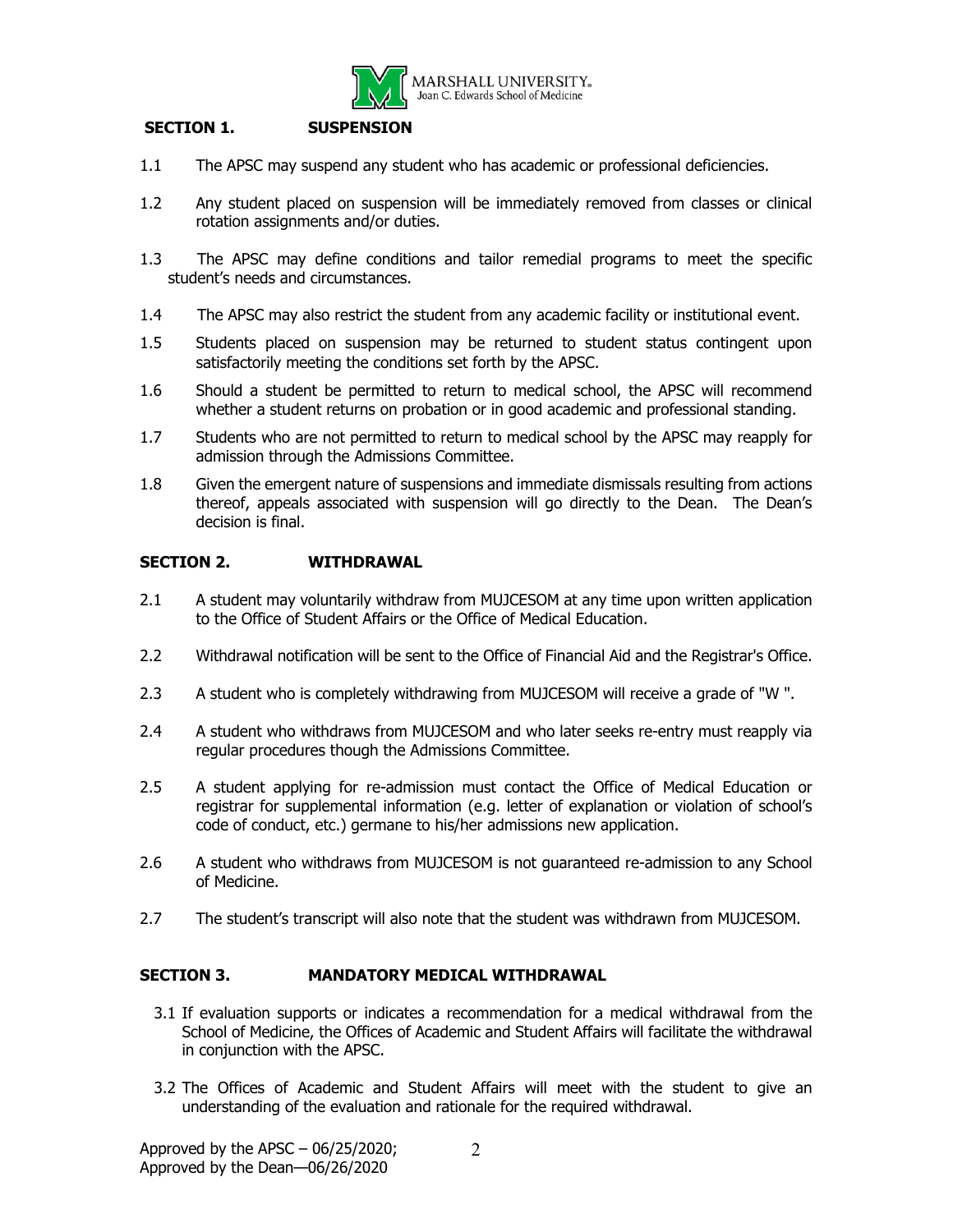

## **SECTION 1. SUSPENSION**

- 1.1 The APSC may suspend any student who has academic or professional deficiencies.
- 1.2 Any student placed on suspension will be immediately removed from classes or clinical rotation assignments and/or duties.
- 1.3 The APSC may define conditions and tailor remedial programs to meet the specific student's needs and circumstances.
- 1.4 The APSC may also restrict the student from any academic facility or institutional event.
- 1.5 Students placed on suspension may be returned to student status contingent upon satisfactorily meeting the conditions set forth by the APSC.
- 1.6 Should a student be permitted to return to medical school, the APSC will recommend whether a student returns on probation or in good academic and professional standing.
- 1.7 Students who are not permitted to return to medical school by the APSC may reapply for admission through the Admissions Committee.
- 1.8 Given the emergent nature of suspensions and immediate dismissals resulting from actions thereof, appeals associated with suspension will go directly to the Dean. The Dean's decision is final.

### **SECTION 2. WITHDRAWAL**

- 2.1 A student may voluntarily withdraw from MUJCESOM at any time upon written application to the Office of Student Affairs or the Office of Medical Education.
- 2.2 Withdrawal notification will be sent to the Office of Financial Aid and the Registrar's Office.
- 2.3 A student who is completely withdrawing from MUJCESOM will receive a grade of "W ".
- 2.4 A student who withdraws from MUJCESOM and who later seeks re-entry must reapply via regular procedures though the Admissions Committee.
- 2.5 A student applying for re-admission must contact the Office of Medical Education or registrar for supplemental information (e.g. letter of explanation or violation of school's code of conduct, etc.) germane to his/her admissions new application.
- 2.6 A student who withdraws from MUJCESOM is not guaranteed re-admission to any School of Medicine.
- 2.7 The student's transcript will also note that the student was withdrawn from MUJCESOM.

### **SECTION 3. MANDATORY MEDICAL WITHDRAWAL**

- 3.1 If evaluation supports or indicates a recommendation for a medical withdrawal from the School of Medicine, the Offices of Academic and Student Affairs will facilitate the withdrawal in conjunction with the APSC.
- 3.2 The Offices of Academic and Student Affairs will meet with the student to give an understanding of the evaluation and rationale for the required withdrawal.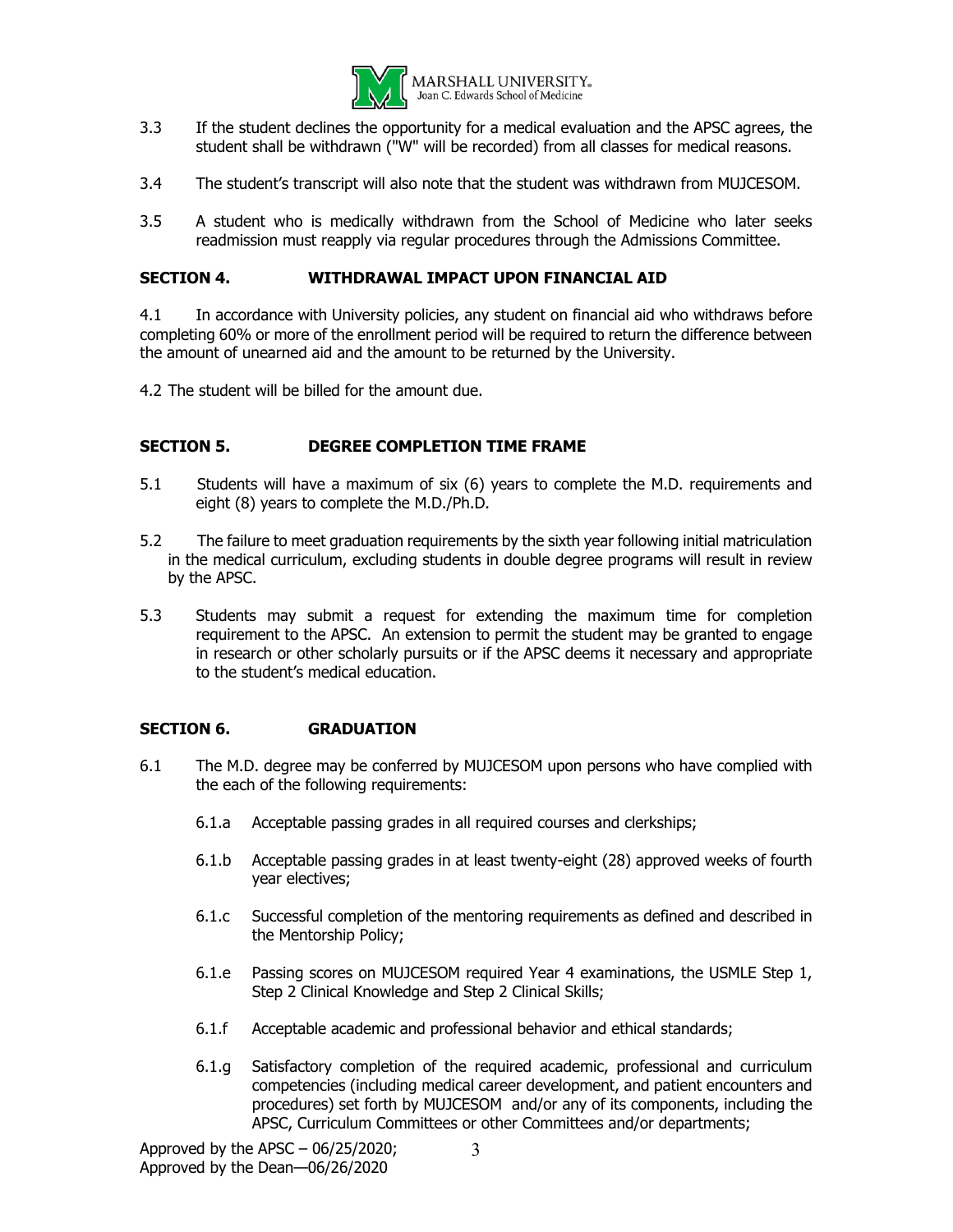

- 3.3 If the student declines the opportunity for a medical evaluation and the APSC agrees, the student shall be withdrawn ("W" will be recorded) from all classes for medical reasons.
- 3.4 The student's transcript will also note that the student was withdrawn from MUJCESOM.
- 3.5 A student who is medically withdrawn from the School of Medicine who later seeks readmission must reapply via regular procedures through the Admissions Committee.

### **SECTION 4. WITHDRAWAL IMPACT UPON FINANCIAL AID**

4.1 In accordance with University policies, any student on financial aid who withdraws before completing 60% or more of the enrollment period will be required to return the difference between the amount of unearned aid and the amount to be returned by the University.

4.2 The student will be billed for the amount due.

#### **SECTION 5. DEGREE COMPLETION TIME FRAME**

- 5.1 Students will have a maximum of six (6) years to complete the M.D. requirements and eight (8) years to complete the M.D./Ph.D.
- 5.2 The failure to meet graduation requirements by the sixth year following initial matriculation in the medical curriculum, excluding students in double degree programs will result in review by the APSC.
- 5.3 Students may submit a request for extending the maximum time for completion requirement to the APSC. An extension to permit the student may be granted to engage in research or other scholarly pursuits or if the APSC deems it necessary and appropriate to the student's medical education.

### **SECTION 6. GRADUATION**

- 6.1 The M.D. degree may be conferred by MUJCESOM upon persons who have complied with the each of the following requirements:
	- 6.1.a Acceptable passing grades in all required courses and clerkships;
	- 6.1.b Acceptable passing grades in at least twenty-eight (28) approved weeks of fourth year electives;
	- 6.1.c Successful completion of the mentoring requirements as defined and described in the Mentorship Policy;
	- 6.1.e Passing scores on MUJCESOM required Year 4 examinations, the USMLE Step 1, Step 2 Clinical Knowledge and Step 2 Clinical Skills;
	- 6.1.f Acceptable academic and professional behavior and ethical standards;
	- 6.1.g Satisfactory completion of the required academic, professional and curriculum competencies (including medical career development, and patient encounters and procedures) set forth by MUJCESOM and/or any of its components, including the APSC, Curriculum Committees or other Committees and/or departments;